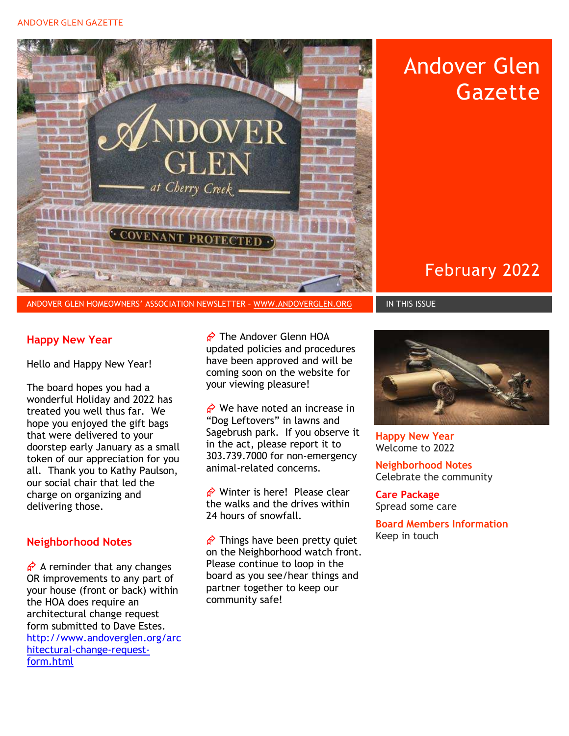#### ANDOVER GLEN GAZETTE



Andover Glen **Gazette** 

February 2022

### Happy New Year

Hello and Happy New Year!

The board hopes you had a wonderful Holiday and 2022 has treated you well thus far. We hope you enjoyed the gift bags that were delivered to your doorstep early January as a small token of our appreciation for you all. Thank you to Kathy Paulson, our social chair that led the charge on organizing and delivering those.

## Neighborhood Notes

 $\phi$  A reminder that any changes OR improvements to any part of your house (front or back) within the HOA does require an architectural change request form submitted to Dave Estes. http://www.andoverglen.org/arc hitectural-change-requestform.html

 The Andover Glenn HOA updated policies and procedures have been approved and will be coming soon on the website for your viewing pleasure!

 $\phi$  We have noted an increase in "Dog Leftovers" in lawns and Sagebrush park. If you observe it in the act, please report it to 303.739.7000 for non-emergency animal-related concerns.

 $\phi$  Winter is here! Please clear the walks and the drives within 24 hours of snowfall.

 $\phi$  Things have been pretty quiet on the Neighborhood watch front. Please continue to loop in the board as you see/hear things and partner together to keep our community safe!



Happy New Year Welcome to 2022

Neighborhood Notes Celebrate the community

Care Package Spread some care

Board Members Information Keep in touch